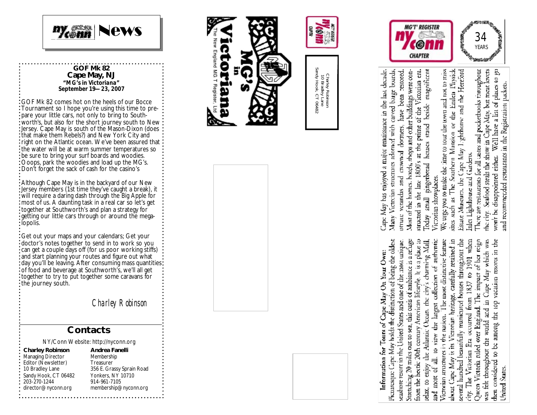

#### **GOF Mk 82 Cape May, NJ** *"MG's in Victoriana" September 19—23, 2007*

GOF Mk 82 comes hot on the heels of our Bocce Tournament so I hope you're using this time to prepare your little cars, not only to bring to Southworth's, but also for the short journey south to New Jersey. Cape May is south of the Mason -Dixon (does that make them Rebels?) and New York City and right on the Atlantic ocean. We've been assured that the water will be at warm summer temperatures so be sure to bring your surf boards and woodies. Ooops, park the woodies and load up the MG's. Don't forget the sack of cash for the casino's

Although Cape May is in the backyard of our New Jersey members (1st time they've caught a break), it will require a daring dash through the Big Apple for most of us. A daunting task in a real car so let's get together at Southworth's and plan a strategy for getting our little cars through or around the megalopolis.

Get out your maps and your calendars; Get your doctor's notes together to send in to work so you can get a couple days off (for us poor working stiffs) and start planning your routes and figure out what : day you'll be leaving. After consuming mass quantities: of food and beverage at Southworth's, we'll all get together to try to put together some caravans for the journey south.

*Charley Robinson*

### **Contacts**

NY/Conn Website: http://nyconn.org

**Charley Robinson**

Managing Director Editor (Newsletter) 10 Bradley Lane Sandy Hook, CT 06482 203-270-1244 director@nyconn.org

**Andrea Fanelli** Membership Treasurer 356 E. Grassy Sprain Road Yonkers, NY 10710 914-961 -7105 membership@nyconn.org











and most of all, to view the largest collection of anthronoic several hundred beautifully manicured houses throughout the city. The Victorian Era occurred from 1837 to 1901 when Queen Victoria ruled over England. The impact of her reign Stretching 20 miles out to sea, this oasis of ambiance is a refuge from the bectic 20th century American lifestyle. It is a place to The most distinctive feature about Cape May is its Victorian heritage, carefully retained in was felt throughout the would and in Cape May which was then considered to be among the top vacation resorts in the seashore resort in the United States and one of the most unique. relax, to enjoy the Atlantic Ocean, the city's charming Mall, Victorian structures in the nation. United States

Ioday small gingetbread houses stand beside magnificent Many Victorian structures adornod with careed barge boards, Most of the homes, hotels, shops and other buildings were constructed in the late 1800's at the prime of the Victorian em. lape May has enjoyed a major remaisance in the last decade. have been restored. otrain verandas and crowned dormers, Victorian showplaces.

We urge you to make the inne to tour the town and not to miss Estate Museum, the Cape May Lighthouse and the Hereford sites such as The Southern Mansion or the Emlen Physick Inlet Lighthouse and Gardens.

There are restaurants for all castes and pocketbooks throughout Well have a list of places to go the city. Seafood steals the show in Cape May, but meat lovers and recommended restaurants in the Registration packets. won't be disappointed either.